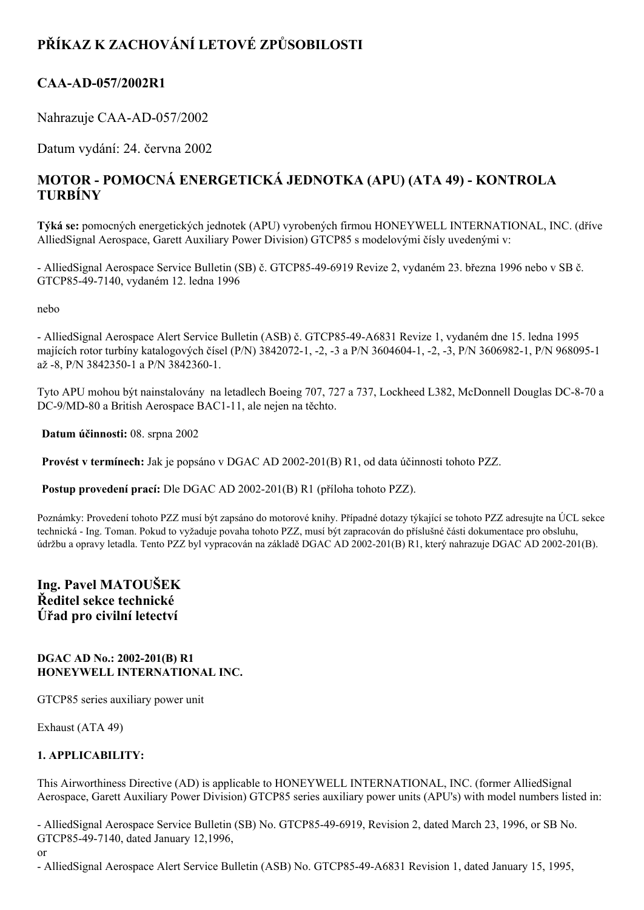# **PŘÍKAZ K ZACHOVÁNÍ LETOVÉ ZPŮSOBILOSTI**

# **CAA-AD-057/2002R1**

Nahrazuje CAA-AD-057/2002

Datum vydání: 24. června 2002

# **MOTOR POMOCNÁ ENERGETICKÁ JEDNOTKA (APU) (ATA 49) KONTROLA TURBÍNY**

**Týká se:** pomocných energetických jednotek (APU) vyrobených firmou HONEYWELL INTERNATIONAL, INC. (dříve AlliedSignal Aerospace, Garett Auxiliary Power Division) GTCP85 s modelovými čísly uvedenými v:

 AlliedSignal Aerospace Service Bulletin (SB) č. GTCP85496919 Revize 2, vydaném 23. března 1996 nebo v SB č. GTCP85497140, vydaném 12. ledna 1996

nebo

- AlliedSignal Aerospace Alert Service Bulletin (ASB) č. GTCP85-49-A6831 Revize 1, vydaném dne 15. ledna 1995 majících rotor turbíny katalogových čísel (P/N) 3842072-1, -2, -3 a P/N 3604604-1, -2, -3, P/N 3606982-1, P/N 968095-1 až -8, P/N 3842350-1 a P/N 3842360-1.

Tyto APU mohou být nainstalovány na letadlech Boeing 707, 727 a 737, Lockheed L382, McDonnell Douglas DC-8-70 a DC-9/MD-80 a British Aerospace BAC1-11, ale nejen na těchto.

**Datum účinnosti:** 08. srpna 2002

**Provést v termínech:** Jak je popsáno v DGAC AD 2002-201(B) R1, od data účinnosti tohoto PZZ.

Postup provedení prací: Dle DGAC AD 2002-201(B) R1 (příloha tohoto PZZ).

Poznámky: Provedení tohoto PZZ musí být zapsáno do motorové knihy. Případné dotazy týkající se tohoto PZZ adresujte na ÚCL sekce technická Ing. Toman. Pokud to vyžaduje povaha tohoto PZZ, musí být zapracován do příslušné části dokumentace pro obsluhu, údržbu a opravy letadla. Tento PZZ byl vypracován na základě DGAC AD 2002201(B) R1, který nahrazuje DGAC AD 2002201(B).

## **Ing. Pavel MATOUŠEK Ředitel sekce technické Úřad pro civilní letectví**

#### **DGAC AD No.: 2002-201(B) R1 HONEYWELL INTERNATIONAL INC.**

GTCP85 series auxiliary power unit

Exhaust (ATA 49)

### **1. APPLICABILITY:**

This Airworthiness Directive (AD) is applicable to HONEYWELL INTERNATIONAL, INC. (former AlliedSignal Aerospace, Garett Auxiliary Power Division) GTCP85 series auxiliary power units (APU's) with model numbers listed in:

- AlliedSignal Aerospace Service Bulletin (SB) No. GTCP85-49-6919, Revision 2, dated March 23, 1996, or SB No. GTCP85497140, dated January 12,1996,

or

- AlliedSignal Aerospace Alert Service Bulletin (ASB) No. GTCP85-49-A6831 Revision 1, dated January 15, 1995,